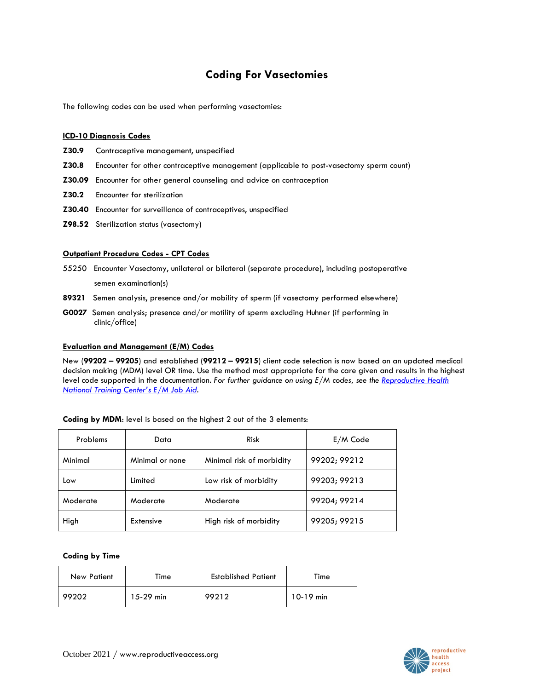# **Coding For Vasectomies**

The following codes can be used when performing vasectomies:

## **ICD-10 Diagnosis Codes**

- **Z30.9** Contraceptive management, unspecified
- **Z30.8** Encounter for other contraceptive management (applicable to post-vasectomy sperm count)
- **Z30.09** Encounter for other general counseling and advice on contraception
- **Z30.2** Encounter for sterilization
- **Z30.40** Encounter for surveillance of contraceptives, unspecified
- **Z98.52** Sterilization status (vasectomy)

#### **Outpatient Procedure Codes - CPT Codes**

- 55250 Encounter Vasectomy, unilateral or bilateral (separate procedure), including postoperative semen examination(s)
- **89321** Semen analysis, presence and/or mobility of sperm (if vasectomy performed elsewhere)
- **G0027** Semen analysis; presence and/or motility of sperm excluding Huhner (if performing in clinic/office)

#### **Evaluation and Management (E/M) Codes**

New (**99202 – 99205**) and established (**99212 – 99215**) client code selection is now based on an updated medical decision making (MDM) level OR time. Use the method most appropriate for the care given and results in the highest level code supported in the documentation. *For further guidance on using E/M codes, see the [Reproductive Health](https://rhntc.org/resources/evaluation-and-management-codes-job-aid)  [National Training Center](https://rhntc.org/resources/evaluation-and-management-codes-job-aid)'s E/M Job Aid.*

| Problems | Data            | <b>Risk</b>               | $E/M$ Code   |
|----------|-----------------|---------------------------|--------------|
| Minimal  | Minimal or none | Minimal risk of morbidity | 99202; 99212 |
| Low      | Limited         | Low risk of morbidity     | 99203; 99213 |
| Moderate | Moderate        | Moderate                  | 99204; 99214 |
| High     | Extensive       | High risk of morbidity    | 99205; 99215 |

## **Coding by MDM**: level is based on the highest 2 out of the 3 elements:

#### **Coding by Time**

| <b>New Patient</b> | Time        | <b>Established Patient</b> | Time        |
|--------------------|-------------|----------------------------|-------------|
| 99202              | $15-29$ min | 99212                      | $10-19$ min |